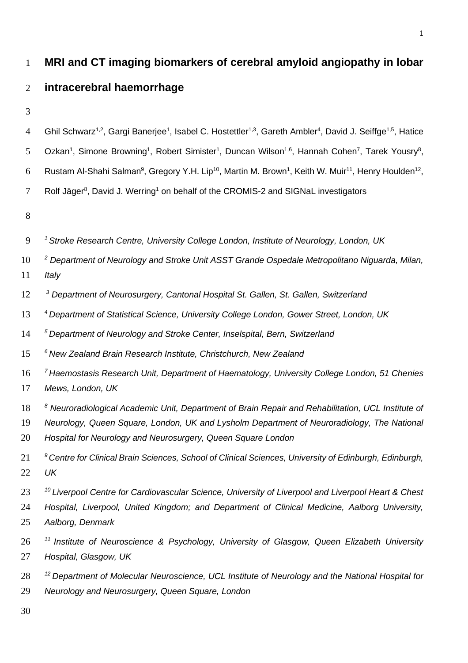# **MRI and CT imaging biomarkers of cerebral amyloid angiopathy in lobar intracerebral haemorrhage**  4 Ghil Schwarz<sup>1,2</sup>, Gargi Banerjee<sup>1</sup>, Isabel C. Hostettler<sup>1,3</sup>, Gareth Ambler<sup>4</sup>, David J. Seiffge<sup>1,5</sup>, Hatice 5 Ozkan<sup>1</sup>, Simone Browning<sup>1</sup>, Robert Simister<sup>1</sup>, Duncan Wilson<sup>1,6</sup>, Hannah Cohen<sup>7</sup>, Tarek Yousry<sup>8</sup>, 6 Rustam Al-Shahi Salman<sup>9</sup>, Gregory Y.H. Lip<sup>10</sup>, Martin M. Brown<sup>1</sup>, Keith W. Muir<sup>11</sup>, Henry Houlden<sup>12</sup>, 7 Rolf Jäger<sup>8</sup>, David J. Werring<sup>1</sup> on behalf of the CROMIS-2 and SIGNaL investigators *<sup>1</sup> Stroke Research Centre, University College London, Institute of Neurology, London, UK 2 Department of Neurology and Stroke Unit ASST Grande Ospedale Metropolitano Niguarda, Milan, Italy 3 Department of Neurosurgery, Cantonal Hospital St. Gallen, St. Gallen, Switzerland <sup>4</sup> Department of Statistical Science, University College London, Gower Street, London, UK <sup>5</sup> Department of Neurology and Stroke Center, Inselspital, Bern, Switzerland <sup>6</sup> New Zealand Brain Research Institute, Christchurch, New Zealand <sup>7</sup> Haemostasis Research Unit, Department of Haematology, University College London, 51 Chenies Mews, London, UK 8 Neuroradiological Academic Unit, Department of Brain Repair and Rehabilitation, UCL Institute of Neurology, Queen Square, London, UK and Lysholm Department of Neuroradiology, The National Hospital for Neurology and Neurosurgery, Queen Square London 9 Centre for Clinical Brain Sciences, School of Clinical Sciences, University of Edinburgh, Edinburgh, UK <sup>10</sup> Liverpool Centre for Cardiovascular Science, University of Liverpool and Liverpool Heart & Chest Hospital, Liverpool, United Kingdom; and Department of Clinical Medicine, Aalborg University, Aalborg, Denmark <sup>11</sup> Institute of Neuroscience & Psychology, University of Glasgow, Queen Elizabeth University Hospital, Glasgow, UK <sup>12</sup> Department of Molecular Neuroscience, UCL Institute of Neurology and the National Hospital for Neurology and Neurosurgery, Queen Square, London*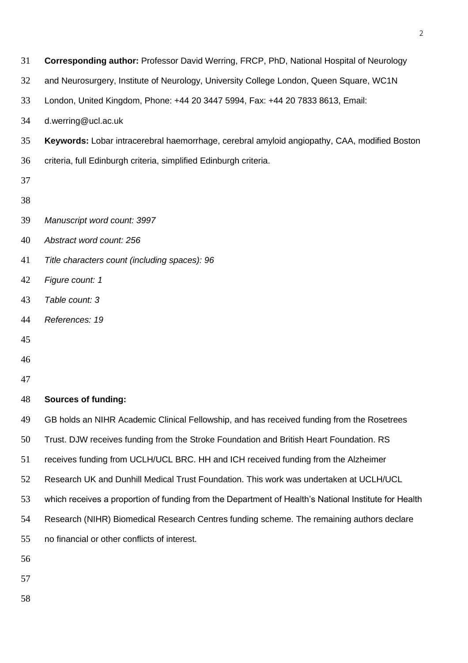- **Corresponding author:** Professor David Werring, FRCP, PhD, National Hospital of Neurology
- and Neurosurgery, Institute of Neurology, University College London, Queen Square, WC1N
- London, United Kingdom, Phone: +44 20 3447 5994, Fax: +44 20 7833 8613, Email:
- d.werring@ucl.ac.uk
- **Keywords:** Lobar intracerebral haemorrhage, cerebral amyloid angiopathy, CAA, modified Boston
- criteria, full Edinburgh criteria, simplified Edinburgh criteria.
- 
- 
- *Manuscript word count: 3997*
- *Abstract word count: 256*
- *Title characters count (including spaces): 96*
- *Figure count: 1*
- *Table count: 3*
- *References: 19*
- 
- 
- 

# **Sources of funding:**

- GB holds an NIHR Academic Clinical Fellowship, and has received funding from the Rosetrees
- Trust. DJW receives funding from the Stroke Foundation and British Heart Foundation. RS
- receives funding from UCLH/UCL BRC. HH and ICH received funding from the Alzheimer
- Research UK and Dunhill Medical Trust Foundation. This work was undertaken at UCLH/UCL
- which receives a proportion of funding from the Department of Health's National Institute for Health
- Research (NIHR) Biomedical Research Centres funding scheme. The remaining authors declare
- no financial or other conflicts of interest.
- 
- 
- 
-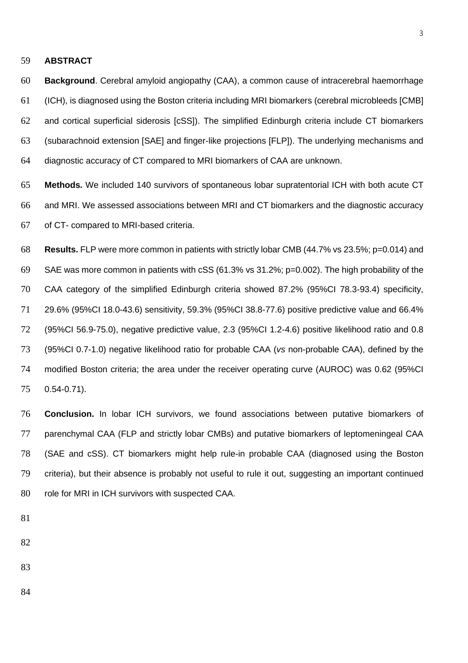#### **ABSTRACT**

 **Background**. Cerebral amyloid angiopathy (CAA), a common cause of intracerebral haemorrhage (ICH), is diagnosed using the Boston criteria including MRI biomarkers (cerebral microbleeds [CMB] and cortical superficial siderosis [cSS]). The simplified Edinburgh criteria include CT biomarkers (subarachnoid extension [SAE] and finger-like projections [FLP]). The underlying mechanisms and diagnostic accuracy of CT compared to MRI biomarkers of CAA are unknown.

 **Methods.** We included 140 survivors of spontaneous lobar supratentorial ICH with both acute CT and MRI. We assessed associations between MRI and CT biomarkers and the diagnostic accuracy of CT- compared to MRI-based criteria.

 **Results.** FLP were more common in patients with strictly lobar CMB (44.7% vs 23.5%; p=0.014) and SAE was more common in patients with cSS (61.3% vs 31.2%; p=0.002). The high probability of the CAA category of the simplified Edinburgh criteria showed 87.2% (95%CI 78.3-93.4) specificity, 29.6% (95%CI 18.0-43.6) sensitivity, 59.3% (95%CI 38.8-77.6) positive predictive value and 66.4% (95%CI 56.9-75.0), negative predictive value, 2.3 (95%CI 1.2-4.6) positive likelihood ratio and 0.8 (95%CI 0.7-1.0) negative likelihood ratio for probable CAA (*vs* non-probable CAA), defined by the modified Boston criteria; the area under the receiver operating curve (AUROC) was 0.62 (95%CI 0.54-0.71).

 **Conclusion.** In lobar ICH survivors, we found associations between putative biomarkers of parenchymal CAA (FLP and strictly lobar CMBs) and putative biomarkers of leptomeningeal CAA (SAE and cSS). CT biomarkers might help rule-in probable CAA (diagnosed using the Boston criteria), but their absence is probably not useful to rule it out, suggesting an important continued 80 role for MRI in ICH survivors with suspected CAA.

- 
- 
- 
- 
-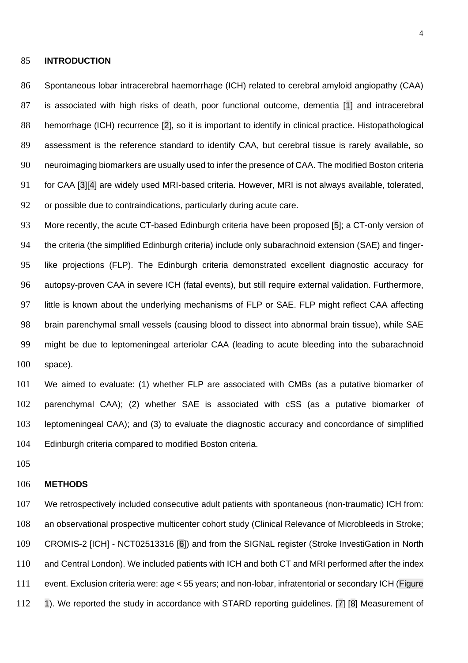#### **INTRODUCTION**

 Spontaneous lobar intracerebral haemorrhage (ICH) related to cerebral amyloid angiopathy (CAA) is associated with high risks of death, poor functional outcome, dementia [1] and intracerebral hemorrhage (ICH) recurrence [2], so it is important to identify in clinical practice. Histopathological 89 assessment is the reference standard to identify CAA, but cerebral tissue is rarely available, so neuroimaging biomarkers are usually used to infer the presence of CAA. The modified Boston criteria for CAA [3][4] are widely used MRI-based criteria. However, MRI is not always available, tolerated, or possible due to contraindications, particularly during acute care.

93 More recently, the acute CT-based Edinburgh criteria have been proposed [5]; a CT-only version of the criteria (the simplified Edinburgh criteria) include only subarachnoid extension (SAE) and finger- like projections (FLP). The Edinburgh criteria demonstrated excellent diagnostic accuracy for autopsy-proven CAA in severe ICH (fatal events), but still require external validation. Furthermore, little is known about the underlying mechanisms of FLP or SAE. FLP might reflect CAA affecting brain parenchymal small vessels (causing blood to dissect into abnormal brain tissue), while SAE might be due to leptomeningeal arteriolar CAA (leading to acute bleeding into the subarachnoid space).

 We aimed to evaluate: (1) whether FLP are associated with CMBs (as a putative biomarker of parenchymal CAA); (2) whether SAE is associated with cSS (as a putative biomarker of leptomeningeal CAA); and (3) to evaluate the diagnostic accuracy and concordance of simplified Edinburgh criteria compared to modified Boston criteria.

#### **METHODS**

 We retrospectively included consecutive adult patients with spontaneous (non-traumatic) ICH from: an observational prospective multicenter cohort study (Clinical Relevance of Microbleeds in Stroke; CROMIS-2 [ICH] - NCT02513316 [6]) and from the SIGNaL register (Stroke InvestiGation in North 110 and Central London). We included patients with ICH and both CT and MRI performed after the index event. Exclusion criteria were: age < 55 years; and non-lobar, infratentorial or secondary ICH (Figure 112 1). We reported the study in accordance with STARD reporting guidelines. [7] [8] Measurement of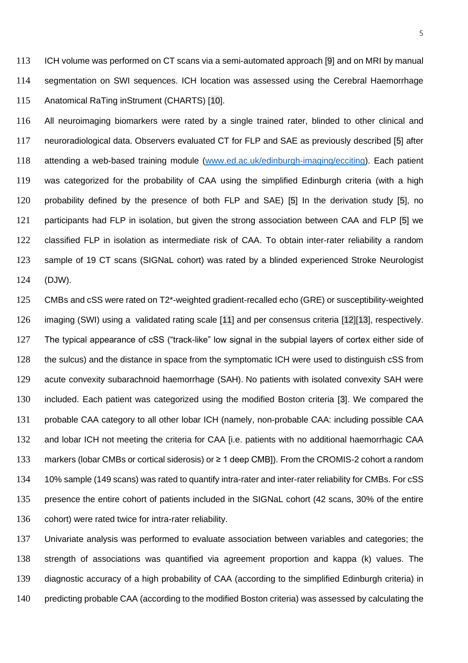ICH volume was performed on CT scans via a semi-automated approach [9] and on MRI by manual segmentation on SWI sequences. ICH location was assessed using the Cerebral Haemorrhage Anatomical RaTing inStrument (CHARTS) [10].

 All neuroimaging biomarkers were rated by a single trained rater, blinded to other clinical and neuroradiological data. Observers evaluated CT for FLP and SAE as previously described [5] after attending a web-based training module [\(www.ed.ac.uk/edinburgh-imaging/ecciting\)](http://www.ed.ac.uk/edinburgh-imaging/ecciting). Each patient was categorized for the probability of CAA using the simplified Edinburgh criteria (with a high probability defined by the presence of both FLP and SAE) [5] In the derivation study [5], no 121 participants had FLP in isolation, but given the strong association between CAA and FLP [5] we classified FLP in isolation as intermediate risk of CAA. To obtain inter-rater reliability a random sample of 19 CT scans (SIGNaL cohort) was rated by a blinded experienced Stroke Neurologist (DJW).

 CMBs and cSS were rated on T2\*-weighted gradient-recalled echo (GRE) or susceptibility-weighted imaging (SWI) using a validated rating scale [11] and per consensus criteria [12][13], respectively. The typical appearance of cSS ("track-like" low signal in the subpial layers of cortex either side of the sulcus) and the distance in space from the symptomatic ICH were used to distinguish cSS from acute convexity subarachnoid haemorrhage (SAH). No patients with isolated convexity SAH were included. Each patient was categorized using the modified Boston criteria [3]. We compared the probable CAA category to all other lobar ICH (namely, non-probable CAA: including possible CAA and lobar ICH not meeting the criteria for CAA [i.e. patients with no additional haemorrhagic CAA markers (lobar CMBs or cortical siderosis) or ≥ 1 deep CMB]). From the CROMIS-2 cohort a random 10% sample (149 scans) was rated to quantify intra-rater and inter-rater reliability for CMBs. For cSS presence the entire cohort of patients included in the SIGNaL cohort (42 scans, 30% of the entire cohort) were rated twice for intra-rater reliability.

 Univariate analysis was performed to evaluate association between variables and categories; the strength of associations was quantified via agreement proportion and kappa (k) values. The diagnostic accuracy of a high probability of CAA (according to the simplified Edinburgh criteria) in predicting probable CAA (according to the modified Boston criteria) was assessed by calculating the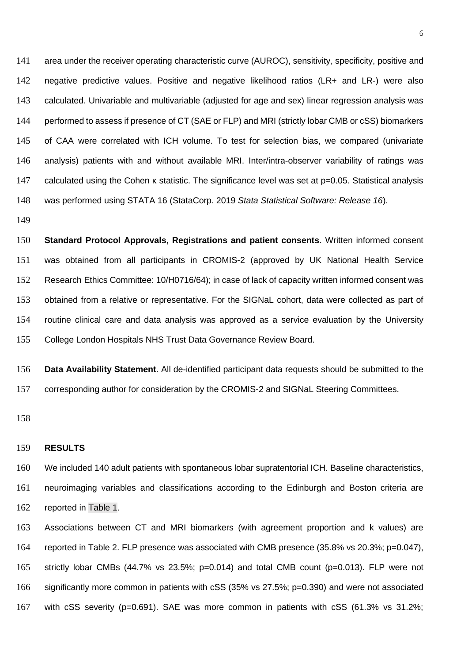141 area under the receiver operating characteristic curve (AUROC), sensitivity, specificity, positive and negative predictive values. Positive and negative likelihood ratios (LR+ and LR-) were also calculated. Univariable and multivariable (adjusted for age and sex) linear regression analysis was 144 performed to assess if presence of CT (SAE or FLP) and MRI (strictly lobar CMB or cSS) biomarkers of CAA were correlated with ICH volume. To test for selection bias, we compared (univariate analysis) patients with and without available MRI. Inter/intra-observer variability of ratings was calculated using the Cohen κ statistic. The significance level was set at p=0.05. Statistical analysis was performed using STATA 16 (StataCorp. 2019 *Stata Statistical Software: Release 16*).

 **Standard Protocol Approvals, Registrations and patient consents**. Written informed consent was obtained from all participants in CROMIS-2 (approved by UK National Health Service Research Ethics Committee: 10/H0716/64); in case of lack of capacity written informed consent was obtained from a relative or representative. For the SIGNaL cohort, data were collected as part of routine clinical care and data analysis was approved as a service evaluation by the University College London Hospitals NHS Trust Data Governance Review Board.

 **Data Availability Statement**. All de-identified participant data requests should be submitted to the corresponding author for consideration by the CROMIS-2 and SIGNaL Steering Committees.

#### **RESULTS**

 We included 140 adult patients with spontaneous lobar supratentorial ICH. Baseline characteristics, neuroimaging variables and classifications according to the Edinburgh and Boston criteria are reported in Table 1.

 Associations between CT and MRI biomarkers (with agreement proportion and k values) are reported in Table 2. FLP presence was associated with CMB presence (35.8% vs 20.3%; p=0.047), strictly lobar CMBs (44.7% vs 23.5%; p=0.014) and total CMB count (p=0.013). FLP were not significantly more common in patients with cSS (35% vs 27.5%; p=0.390) and were not associated with cSS severity (p=0.691). SAE was more common in patients with cSS (61.3% vs 31.2%;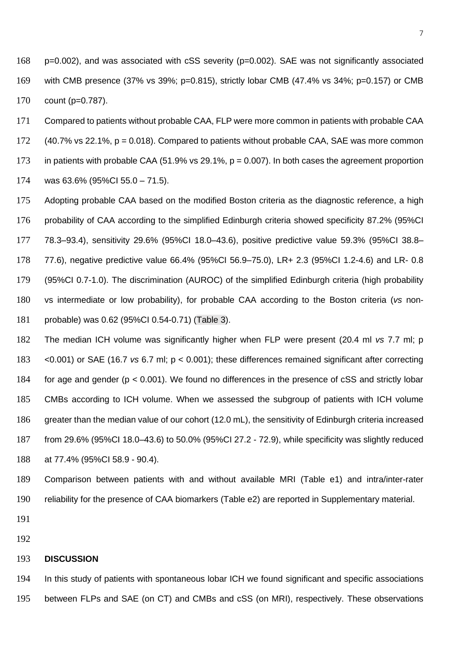- p=0.002), and was associated with cSS severity (p=0.002). SAE was not significantly associated with CMB presence (37% vs 39%; p=0.815), strictly lobar CMB (47.4% vs 34%; p=0.157) or CMB count (p=0.787).
- Compared to patients without probable CAA, FLP were more common in patients with probable CAA
- (40.7% vs 22.1%, p = 0.018). Compared to patients without probable CAA, SAE was more common
- in patients with probable CAA (51.9% vs 29.1%, p = 0.007). In both cases the agreement proportion
- was 63.6% (95%CI 55.0 71.5).

 Adopting probable CAA based on the modified Boston criteria as the diagnostic reference, a high probability of CAA according to the simplified Edinburgh criteria showed specificity 87.2% (95%CI 78.3–93.4), sensitivity 29.6% (95%CI 18.0–43.6), positive predictive value 59.3% (95%CI 38.8– 77.6), negative predictive value 66.4% (95%CI 56.9–75.0), LR+ 2.3 (95%CI 1.2-4.6) and LR- 0.8 (95%CI 0.7-1.0). The discrimination (AUROC) of the simplified Edinburgh criteria (high probability vs intermediate or low probability), for probable CAA according to the Boston criteria (*vs* non-probable) was 0.62 (95%CI 0.54-0.71) (Table 3).

 The median ICH volume was significantly higher when FLP were present (20.4 ml *vs* 7.7 ml; p <0.001) or SAE (16.7 *vs* 6.7 ml; p < 0.001); these differences remained significant after correcting for age and gender (p < 0.001). We found no differences in the presence of cSS and strictly lobar CMBs according to ICH volume. When we assessed the subgroup of patients with ICH volume greater than the median value of our cohort (12.0 mL), the sensitivity of Edinburgh criteria increased from 29.6% (95%CI 18.0–43.6) to 50.0% (95%CI 27.2 - 72.9), while specificity was slightly reduced at 77.4% (95%CI 58.9 - 90.4).

- Comparison between patients with and without available MRI (Table e1) and intra/inter-rater reliability for the presence of CAA biomarkers (Table e2) are reported in Supplementary material.
- 
- 

#### **DISCUSSION**

 In this study of patients with spontaneous lobar ICH we found significant and specific associations between FLPs and SAE (on CT) and CMBs and cSS (on MRI), respectively. These observations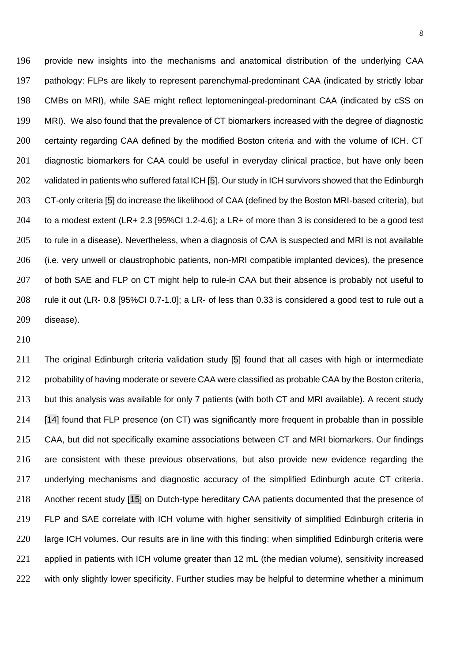provide new insights into the mechanisms and anatomical distribution of the underlying CAA pathology: FLPs are likely to represent parenchymal-predominant CAA (indicated by strictly lobar CMBs on MRI), while SAE might reflect leptomeningeal-predominant CAA (indicated by cSS on MRI). We also found that the prevalence of CT biomarkers increased with the degree of diagnostic certainty regarding CAA defined by the modified Boston criteria and with the volume of ICH. CT 201 diagnostic biomarkers for CAA could be useful in everyday clinical practice, but have only been 202 validated in patients who suffered fatal ICH [5]. Our study in ICH survivors showed that the Edinburgh CT-only criteria [5] do increase the likelihood of CAA (defined by the Boston MRI-based criteria), but to a modest extent (LR+ 2.3 [95%CI 1.2-4.6]; a LR+ of more than 3 is considered to be a good test to rule in a disease). Nevertheless, when a diagnosis of CAA is suspected and MRI is not available (i.e. very unwell or claustrophobic patients, non-MRI compatible implanted devices), the presence 207 of both SAE and FLP on CT might help to rule-in CAA but their absence is probably not useful to rule it out (LR- 0.8 [95%CI 0.7-1.0]; a LR- of less than 0.33 is considered a good test to rule out a disease).

 The original Edinburgh criteria validation study [5] found that all cases with high or intermediate 212 probability of having moderate or severe CAA were classified as probable CAA by the Boston criteria, but this analysis was available for only 7 patients (with both CT and MRI available). A recent study [14] found that FLP presence (on CT) was significantly more frequent in probable than in possible CAA, but did not specifically examine associations between CT and MRI biomarkers. Our findings are consistent with these previous observations, but also provide new evidence regarding the underlying mechanisms and diagnostic accuracy of the simplified Edinburgh acute CT criteria. Another recent study [15] on Dutch-type hereditary CAA patients documented that the presence of FLP and SAE correlate with ICH volume with higher sensitivity of simplified Edinburgh criteria in large ICH volumes. Our results are in line with this finding: when simplified Edinburgh criteria were applied in patients with ICH volume greater than 12 mL (the median volume), sensitivity increased with only slightly lower specificity. Further studies may be helpful to determine whether a minimum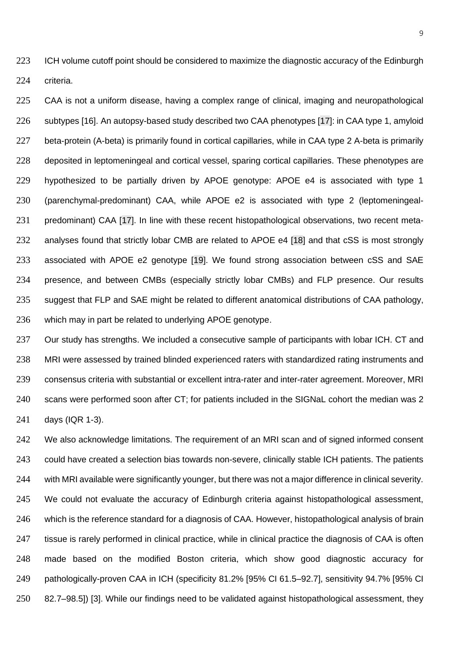223 ICH volume cutoff point should be considered to maximize the diagnostic accuracy of the Edinburgh criteria.

225 CAA is not a uniform disease, having a complex range of clinical, imaging and neuropathological subtypes [16]. An autopsy-based study described two CAA phenotypes [17]: in CAA type 1, amyloid 227 beta-protein (A-beta) is primarily found in cortical capillaries, while in CAA type 2 A-beta is primarily deposited in leptomeningeal and cortical vessel, sparing cortical capillaries. These phenotypes are hypothesized to be partially driven by APOE genotype: APOE e4 is associated with type 1 (parenchymal-predominant) CAA, while APOE e2 is associated with type 2 (leptomeningeal-231 predominant) CAA [17]. In line with these recent histopathological observations, two recent meta-232 analyses found that strictly lobar CMB are related to APOE e4 [18] and that cSS is most strongly associated with APOE e2 genotype [19]. We found strong association between cSS and SAE presence, and between CMBs (especially strictly lobar CMBs) and FLP presence. Our results suggest that FLP and SAE might be related to different anatomical distributions of CAA pathology, which may in part be related to underlying APOE genotype.

237 Our study has strengths. We included a consecutive sample of participants with lobar ICH. CT and MRI were assessed by trained blinded experienced raters with standardized rating instruments and consensus criteria with substantial or excellent intra-rater and inter-rater agreement. Moreover, MRI scans were performed soon after CT; for patients included in the SIGNaL cohort the median was 2 days (IQR 1-3).

 We also acknowledge limitations. The requirement of an MRI scan and of signed informed consent could have created a selection bias towards non-severe, clinically stable ICH patients. The patients with MRI available were significantly younger, but there was not a major difference in clinical severity. We could not evaluate the accuracy of Edinburgh criteria against histopathological assessment, which is the reference standard for a diagnosis of CAA. However, histopathological analysis of brain tissue is rarely performed in clinical practice, while in clinical practice the diagnosis of CAA is often made based on the modified Boston criteria, which show good diagnostic accuracy for pathologically-proven CAA in ICH (specificity 81.2% [95% CI 61.5–92.7], sensitivity 94.7% [95% CI 82.7–98.5]) [3]. While our findings need to be validated against histopathological assessment, they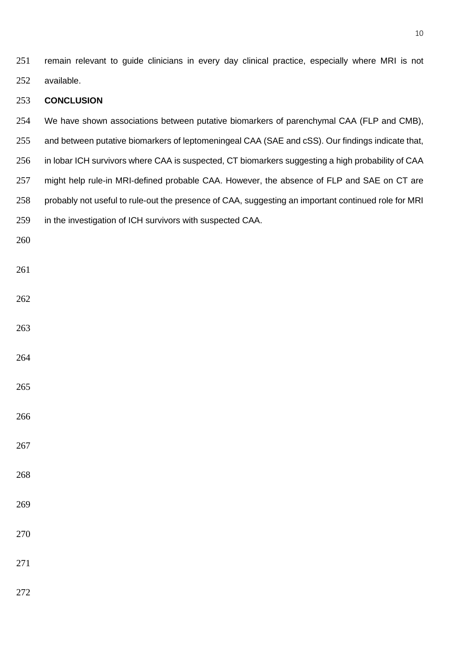remain relevant to guide clinicians in every day clinical practice, especially where MRI is not available.

## **CONCLUSION**

- We have shown associations between putative biomarkers of parenchymal CAA (FLP and CMB),
- and between putative biomarkers of leptomeningeal CAA (SAE and cSS). Our findings indicate that,
- in lobar ICH survivors where CAA is suspected, CT biomarkers suggesting a high probability of CAA
- 257 might help rule-in MRI-defined probable CAA. However, the absence of FLP and SAE on CT are
- probably not useful to rule-out the presence of CAA, suggesting an important continued role for MRI
- in the investigation of ICH survivors with suspected CAA.
- 

- 
- 
- 
- 
- 
- 
- 
- 
- 
- 
-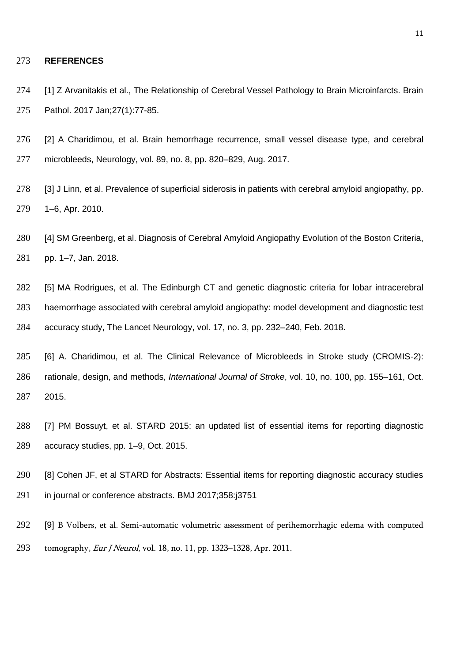#### **REFERENCES**

274 [1] Z Arvanitakis et al., The Relationship of Cerebral Vessel Pathology to Brain Microinfarcts. Brain Pathol. 2017 Jan;27(1):77-85.

 [2] A Charidimou, et al. Brain hemorrhage recurrence, small vessel disease type, and cerebral microbleeds, Neurology, vol. 89, no. 8, pp. 820–829, Aug. 2017.

 [3] J Linn, et al. Prevalence of superficial siderosis in patients with cerebral amyloid angiopathy, pp. 1–6, Apr. 2010.

 [4] SM Greenberg, et al. Diagnosis of Cerebral Amyloid Angiopathy Evolution of the Boston Criteria, pp. 1–7, Jan. 2018.

 [5] MA Rodrigues, et al. The Edinburgh CT and genetic diagnostic criteria for lobar intracerebral haemorrhage associated with cerebral amyloid angiopathy: model development and diagnostic test accuracy study, The Lancet Neurology, vol. 17, no. 3, pp. 232–240, Feb. 2018.

 [6] A. Charidimou, et al. The Clinical Relevance of Microbleeds in Stroke study (CROMIS-2): rationale, design, and methods, *International Journal of Stroke*, vol. 10, no. 100, pp. 155–161, Oct. 2015.

 [7] PM Bossuyt, et al. STARD 2015: an updated list of essential items for reporting diagnostic accuracy studies, pp. 1–9, Oct. 2015.

 [8] Cohen JF, et al STARD for Abstracts: Essential items for reporting diagnostic accuracy studies in journal or conference abstracts. BMJ 2017;358:j3751

 [9] B Volbers, et al. Semi-automatic volumetric assessment of perihemorrhagic edema with computed tomography, Eur J Neurol, vol. 18, no. 11, pp. 1323–1328, Apr. 2011.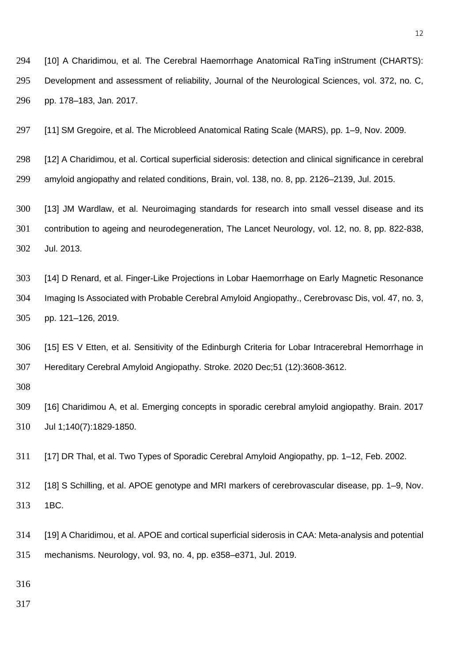[10] A Charidimou, et al. The Cerebral Haemorrhage Anatomical RaTing inStrument (CHARTS): Development and assessment of reliability, Journal of the Neurological Sciences, vol. 372, no. C, pp. 178–183, Jan. 2017.

[11] SM Gregoire, et al. The Microbleed Anatomical Rating Scale (MARS), pp. 1–9, Nov. 2009.

 [12] A Charidimou, et al. Cortical superficial siderosis: detection and clinical significance in cerebral amyloid angiopathy and related conditions, Brain, vol. 138, no. 8, pp. 2126–2139, Jul. 2015.

 [13] JM Wardlaw, et al. Neuroimaging standards for research into small vessel disease and its contribution to ageing and neurodegeneration, The Lancet Neurology, vol. 12, no. 8, pp. 822-838, Jul. 2013.

 [14] D Renard, et al. Finger-Like Projections in Lobar Haemorrhage on Early Magnetic Resonance Imaging Is Associated with Probable Cerebral Amyloid Angiopathy., Cerebrovasc Dis, vol. 47, no. 3, pp. 121–126, 2019.

 [15] ES V Etten, et al. Sensitivity of the Edinburgh Criteria for Lobar Intracerebral Hemorrhage in Hereditary Cerebral Amyloid Angiopathy. Stroke. 2020 Dec;51 (12):3608-3612.

 [16] Charidimou A, et al. Emerging concepts in sporadic cerebral amyloid angiopathy. Brain. 2017 Jul 1;140(7):1829-1850.

[17] DR Thal, et al. Two Types of Sporadic Cerebral Amyloid Angiopathy, pp. 1–12, Feb. 2002.

 [18] S Schilling, et al. APOE genotype and MRI markers of cerebrovascular disease, pp. 1–9, Nov. 1BC.

 [19] A Charidimou, et al. APOE and cortical superficial siderosis in CAA: Meta-analysis and potential mechanisms. Neurology, vol. 93, no. 4, pp. e358–e371, Jul. 2019.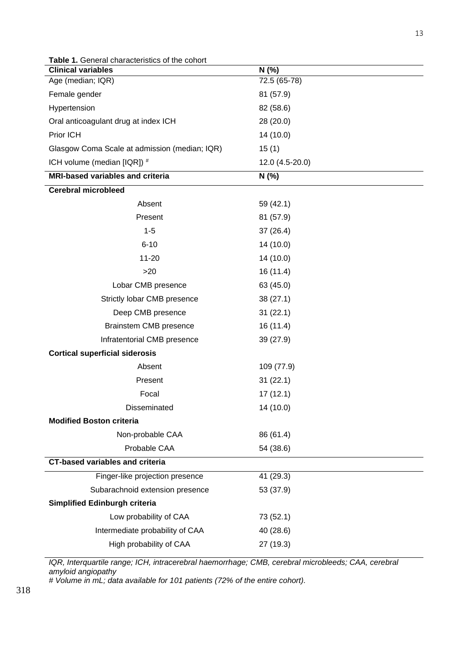| <b>Table 1.</b> General characteristics of the cohort |                 |  |  |
|-------------------------------------------------------|-----------------|--|--|
| <b>Clinical variables</b>                             | N(% )           |  |  |
| Age (median; IQR)                                     | 72.5 (65-78)    |  |  |
| Female gender                                         | 81 (57.9)       |  |  |
| Hypertension                                          | 82 (58.6)       |  |  |
| Oral anticoagulant drug at index ICH                  | 28 (20.0)       |  |  |
| Prior ICH                                             | 14 (10.0)       |  |  |
| Glasgow Coma Scale at admission (median; IQR)         | 15(1)           |  |  |
| ICH volume (median [IQR]) #                           | 12.0 (4.5-20.0) |  |  |
| <b>MRI-based variables and criteria</b>               | N (%)           |  |  |
| <b>Cerebral microbleed</b>                            |                 |  |  |
| Absent                                                | 59 (42.1)       |  |  |
| Present                                               | 81 (57.9)       |  |  |
| $1 - 5$                                               | 37(26.4)        |  |  |
| $6 - 10$                                              | 14 (10.0)       |  |  |
| $11 - 20$                                             | 14 (10.0)       |  |  |
| >20                                                   | 16(11.4)        |  |  |
| Lobar CMB presence                                    | 63 (45.0)       |  |  |
| Strictly lobar CMB presence                           | 38(27.1)        |  |  |
| Deep CMB presence                                     | 31(22.1)        |  |  |
| Brainstem CMB presence                                | 16 (11.4)       |  |  |
| Infratentorial CMB presence                           | 39(27.9)        |  |  |
| <b>Cortical superficial siderosis</b>                 |                 |  |  |
| Absent                                                | 109 (77.9)      |  |  |
| Present                                               | 31(22.1)        |  |  |
| Focal                                                 | 17(12.1)        |  |  |
| Disseminated                                          | 14 (10.0)       |  |  |
| <b>Modified Boston criteria</b>                       |                 |  |  |
| Non-probable CAA                                      | 86 (61.4)       |  |  |
| Probable CAA                                          | 54 (38.6)       |  |  |
| <b>CT-based variables and criteria</b>                |                 |  |  |
| Finger-like projection presence                       | 41 (29.3)       |  |  |
| Subarachnoid extension presence                       | 53 (37.9)       |  |  |
| <b>Simplified Edinburgh criteria</b>                  |                 |  |  |
| Low probability of CAA                                | 73 (52.1)       |  |  |
| Intermediate probability of CAA                       | 40 (28.6)       |  |  |
| High probability of CAA                               | 27 (19.3)       |  |  |

*IQR, Interquartile range; ICH, intracerebral haemorrhage; CMB, cerebral microbleeds; CAA, cerebral amyloid angiopathy*

*# Volume in mL; data available for 101 patients (72% of the entire cohort).*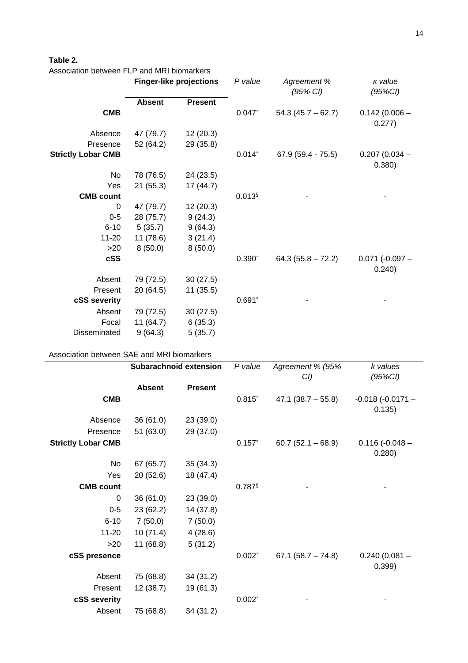## **Table 2.**

| Association between FLP and MRI biomarkers |                                |                |           |                         |                             |
|--------------------------------------------|--------------------------------|----------------|-----------|-------------------------|-----------------------------|
|                                            | <b>Finger-like projections</b> |                | P value   | Agreement %<br>(95% CI) | $K$ value<br>(95%Cl)        |
|                                            | <b>Absent</b>                  | <b>Present</b> |           |                         |                             |
| <b>CMB</b>                                 |                                |                | 0.047     | $54.3(45.7 - 62.7)$     | $0.142(0.006 -$<br>0.277)   |
| Absence                                    | 47 (79.7)                      | 12(20.3)       |           |                         |                             |
| Presence                                   | 52 (64.2)                      | 29 (35.8)      |           |                         |                             |
| <b>Strictly Lobar CMB</b>                  |                                |                | $0.014^*$ | $67.9(59.4 - 75.5)$     | $0.207(0.034 -$<br>0.380)   |
| No                                         | 78 (76.5)                      | 24 (23.5)      |           |                         |                             |
| Yes                                        | 21(55.3)                       | 17 (44.7)      |           |                         |                             |
| <b>CMB count</b>                           |                                |                | $0.013$ § |                         |                             |
| 0                                          | 47 (79.7)                      | 12(20.3)       |           |                         |                             |
| $0 - 5$                                    | 28 (75.7)                      | 9(24.3)        |           |                         |                             |
| $6 - 10$                                   | 5(35.7)                        | 9(64.3)        |           |                         |                             |
| $11 - 20$                                  | 11(78.6)                       | 3(21.4)        |           |                         |                             |
| >20                                        | 8(50.0)                        | 8(50.0)        |           |                         |                             |
| cSS                                        |                                |                | $0.390*$  | $64.3(55.8 - 72.2)$     | $0.071$ (-0.097 -<br>0.240) |
| Absent                                     | 79 (72.5)                      | 30(27.5)       |           |                         |                             |
| Present                                    | 20(64.5)                       | 11(35.5)       |           |                         |                             |
| cSS severity                               |                                |                | $0.691*$  |                         |                             |
| Absent                                     | 79 (72.5)                      | 30(27.5)       |           |                         |                             |
| Focal                                      | 11(64.7)                       | 6(35.3)        |           |                         |                             |
| Disseminated                               | 9(64.3)                        | 5(35.7)        |           |                         |                             |

## Association between SAE and MRI biomarkers

|                           | <b>Subarachnoid extension</b> |                | P value   | Agreement % (95%<br>$CI$ ) | k values<br>(95%Cl)          |  |
|---------------------------|-------------------------------|----------------|-----------|----------------------------|------------------------------|--|
|                           | <b>Absent</b>                 | <b>Present</b> |           |                            |                              |  |
| <b>CMB</b>                |                               |                | $0.815$ * | $47.1 (38.7 - 55.8)$       | $-0.018(-0.0171 -$<br>0.135) |  |
| Absence                   | 36(61.0)                      | 23 (39.0)      |           |                            |                              |  |
| Presence                  | 51(63.0)                      | 29 (37.0)      |           |                            |                              |  |
| <b>Strictly Lobar CMB</b> |                               |                | 0.157     | $60.7(52.1 - 68.9)$        | $0.116(-0.048 -$<br>0.280)   |  |
| No                        | 67 (65.7)                     | 35(34.3)       |           |                            |                              |  |
| Yes                       | 20(52.6)                      | 18 (47.4)      |           |                            |                              |  |
| <b>CMB count</b>          |                               |                | 0.787§    |                            |                              |  |
| 0                         | 36(61.0)                      | 23 (39.0)      |           |                            |                              |  |
| $0-5$                     | 23(62.2)                      | 14 (37.8)      |           |                            |                              |  |
| $6 - 10$                  | 7(50.0)                       | 7(50.0)        |           |                            |                              |  |
| $11 - 20$                 | 10(71.4)                      | 4(28.6)        |           |                            |                              |  |
| >20                       | 11(68.8)                      | 5(31.2)        |           |                            |                              |  |
| cSS presence              |                               |                | $0.002^*$ | $67.1 (58.7 - 74.8)$       | $0.240(0.081 -$<br>0.399     |  |
| Absent                    | 75 (68.8)                     | 34(31.2)       |           |                            |                              |  |
| Present                   | 12(38.7)                      | 19 (61.3)      |           |                            |                              |  |
| cSS severity              |                               |                | $0.002^*$ |                            |                              |  |
| Absent                    | 75 (68.8)                     | 34(31.2)       |           |                            |                              |  |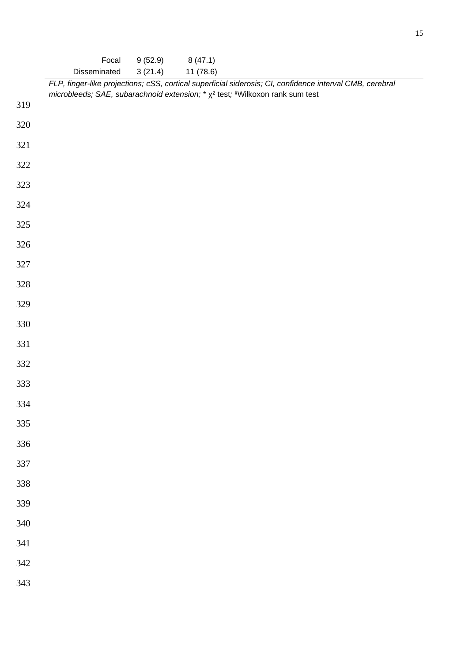|     | Focal                                                                                                                                                                                          | 9(52.9) | 8(47.1)   |  |
|-----|------------------------------------------------------------------------------------------------------------------------------------------------------------------------------------------------|---------|-----------|--|
|     | Disseminated                                                                                                                                                                                   | 3(21.4) | 11 (78.6) |  |
|     | FLP, finger-like projections; cSS, cortical superficial siderosis; CI, confidence interval CMB, cerebral<br>microbleeds; SAE, subarachnoid extension; * $\chi^2$ test; §Wilkoxon rank sum test |         |           |  |
| 319 |                                                                                                                                                                                                |         |           |  |
| 320 |                                                                                                                                                                                                |         |           |  |
| 321 |                                                                                                                                                                                                |         |           |  |
| 322 |                                                                                                                                                                                                |         |           |  |
| 323 |                                                                                                                                                                                                |         |           |  |
| 324 |                                                                                                                                                                                                |         |           |  |
| 325 |                                                                                                                                                                                                |         |           |  |
| 326 |                                                                                                                                                                                                |         |           |  |
| 327 |                                                                                                                                                                                                |         |           |  |
| 328 |                                                                                                                                                                                                |         |           |  |
| 329 |                                                                                                                                                                                                |         |           |  |
| 330 |                                                                                                                                                                                                |         |           |  |
| 331 |                                                                                                                                                                                                |         |           |  |
| 332 |                                                                                                                                                                                                |         |           |  |
| 333 |                                                                                                                                                                                                |         |           |  |
| 334 |                                                                                                                                                                                                |         |           |  |
| 335 |                                                                                                                                                                                                |         |           |  |
| 336 |                                                                                                                                                                                                |         |           |  |
| 337 |                                                                                                                                                                                                |         |           |  |
| 338 |                                                                                                                                                                                                |         |           |  |
| 339 |                                                                                                                                                                                                |         |           |  |
| 340 |                                                                                                                                                                                                |         |           |  |
| 341 |                                                                                                                                                                                                |         |           |  |
| 342 |                                                                                                                                                                                                |         |           |  |
| 343 |                                                                                                                                                                                                |         |           |  |
|     |                                                                                                                                                                                                |         |           |  |